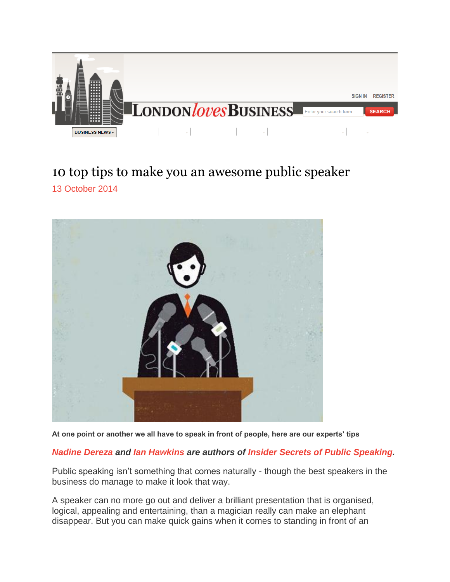

## 10 top tips to make you an awesome public speaker 13 October 2014



**At one point or another we all have to speak in front of people, here are our experts' tips**

#### *[Nadine Dereza](https://web.archive.org/web/20150418153649/https:/twitter.com/nadinedereza) and [Ian Hawkins](https://web.archive.org/web/20150418153649/https:/twitter.com/SmartMrHawkins) are authors of [Insider Secrets of Public Speaking.](https://web.archive.org/web/20150418153649/http:/www.amazon.co.uk/Insider-Secrets-Public-Speaking-Presentations/dp/1781330999)*

Public speaking isn't something that comes naturally - though the best speakers in the business do manage to make it look that way.

A speaker can no more go out and deliver a brilliant presentation that is organised, logical, appealing and entertaining, than a magician really can make an elephant disappear. But you can make quick gains when it comes to standing in front of an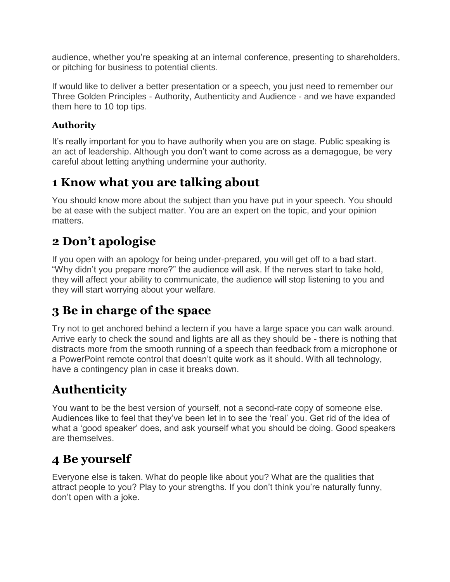audience, whether you're speaking at an internal conference, presenting to shareholders, or pitching for business to potential clients.

If would like to deliver a better presentation or a speech, you just need to remember our Three Golden Principles - Authority, Authenticity and Audience - and we have expanded them here to 10 top tips.

#### **Authority**

It's really important for you to have authority when you are on stage. Public speaking is an act of leadership. Although you don't want to come across as a demagogue, be very careful about letting anything undermine your authority.

## **1 Know what you are talking about**

You should know more about the subject than you have put in your speech. You should be at ease with the subject matter. You are an expert on the topic, and your opinion matters.

## **2 Don't apologise**

If you open with an apology for being under-prepared, you will get off to a bad start. "Why didn't you prepare more?" the audience will ask. If the nerves start to take hold, they will affect your ability to communicate, the audience will stop listening to you and they will start worrying about your welfare.

## **3 Be in charge of the space**

Try not to get anchored behind a lectern if you have a large space you can walk around. Arrive early to check the sound and lights are all as they should be - there is nothing that distracts more from the smooth running of a speech than feedback from a microphone or a PowerPoint remote control that doesn't quite work as it should. With all technology, have a contingency plan in case it breaks down.

## **Authenticity**

You want to be the best version of yourself, not a second-rate copy of someone else. Audiences like to feel that they've been let in to see the 'real' you. Get rid of the idea of what a 'good speaker' does, and ask yourself what you should be doing. Good speakers are themselves.

## **4 Be yourself**

Everyone else is taken. What do people like about you? What are the qualities that attract people to you? Play to your strengths. If you don't think you're naturally funny, don't open with a joke.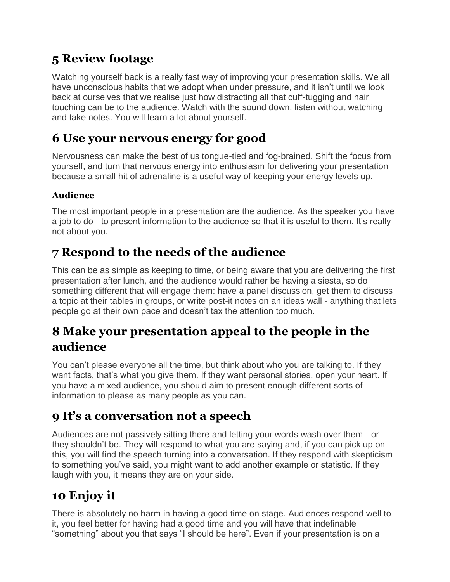## **5 Review footage**

Watching yourself back is a really fast way of improving your presentation skills. We all have unconscious habits that we adopt when under pressure, and it isn't until we look back at ourselves that we realise just how distracting all that cuff-tugging and hair touching can be to the audience. Watch with the sound down, listen without watching and take notes. You will learn a lot about yourself.

### **6 Use your nervous energy for good**

Nervousness can make the best of us tongue-tied and fog-brained. Shift the focus from yourself, and turn that nervous energy into enthusiasm for delivering your presentation because a small hit of adrenaline is a useful way of keeping your energy levels up.

#### **Audience**

The most important people in a presentation are the audience. As the speaker you have a job to do - to present information to the audience so that it is useful to them. It's really not about you.

## **7 Respond to the needs of the audience**

This can be as simple as keeping to time, or being aware that you are delivering the first presentation after lunch, and the audience would rather be having a siesta, so do something different that will engage them: have a panel discussion, get them to discuss a topic at their tables in groups, or write post-it notes on an ideas wall - anything that lets people go at their own pace and doesn't tax the attention too much.

## **8 Make your presentation appeal to the people in the audience**

You can't please everyone all the time, but think about who you are talking to. If they want facts, that's what you give them. If they want personal stories, open your heart. If you have a mixed audience, you should aim to present enough different sorts of information to please as many people as you can.

### **9 It's a conversation not a speech**

Audiences are not passively sitting there and letting your words wash over them - or they shouldn't be. They will respond to what you are saying and, if you can pick up on this, you will find the speech turning into a conversation. If they respond with skepticism to something you've said, you might want to add another example or statistic. If they laugh with you, it means they are on your side.

# **10 Enjoy it**

There is absolutely no harm in having a good time on stage. Audiences respond well to it, you feel better for having had a good time and you will have that indefinable "something" about you that says "I should be here". Even if your presentation is on a